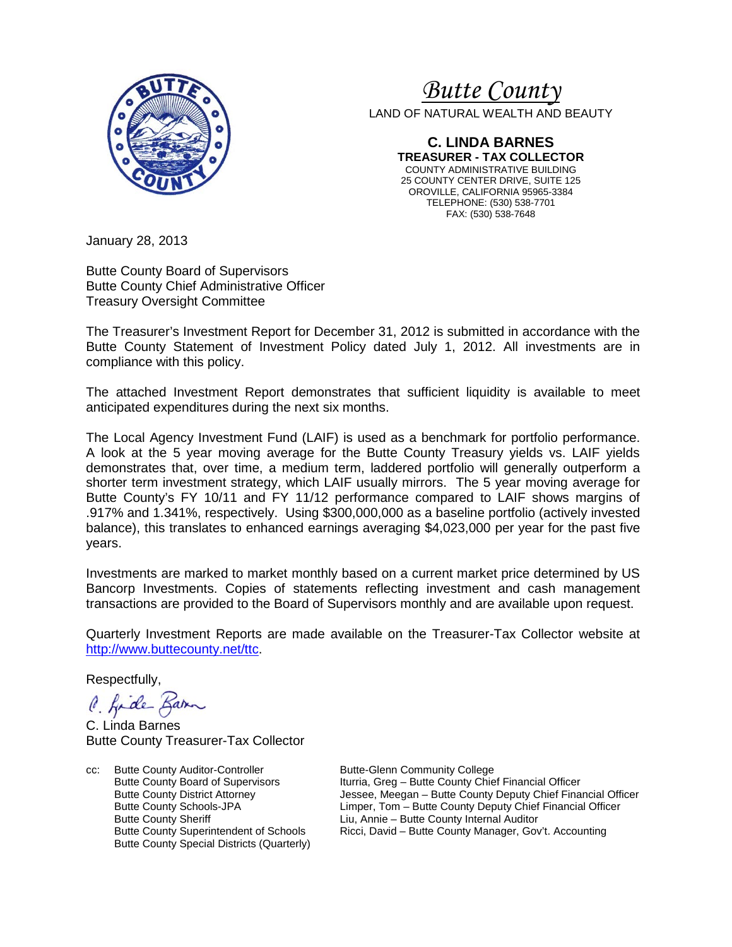

# *<sup>U</sup>Butte County*

LAND OF NATURAL WEALTH AND BEAUTY

**C. LINDA BARNES TREASURER - TAX COLLECTOR** COUNTY ADMINISTRATIVE BUILDING 25 COUNTY CENTER DRIVE, SUITE 125 OROVILLE, CALIFORNIA 95965-3384 TELEPHONE: (530) 538-7701 FAX: (530) 538-7648

January 28, 2013

Butte County Board of Supervisors Butte County Chief Administrative Officer Treasury Oversight Committee

The Treasurer's Investment Report for December 31, 2012 is submitted in accordance with the Butte County Statement of Investment Policy dated July 1, 2012. All investments are in compliance with this policy.

The attached Investment Report demonstrates that sufficient liquidity is available to meet anticipated expenditures during the next six months.

The Local Agency Investment Fund (LAIF) is used as a benchmark for portfolio performance. A look at the 5 year moving average for the Butte County Treasury yields vs. LAIF yields demonstrates that, over time, a medium term, laddered portfolio will generally outperform a shorter term investment strategy, which LAIF usually mirrors. The 5 year moving average for Butte County's FY 10/11 and FY 11/12 performance compared to LAIF shows margins of .917% and 1.341%, respectively. Using \$300,000,000 as a baseline portfolio (actively invested balance), this translates to enhanced earnings averaging \$4,023,000 per year for the past five years.

Investments are marked to market monthly based on a current market price determined by US Bancorp Investments. Copies of statements reflecting investment and cash management transactions are provided to the Board of Supervisors monthly and are available upon request.

Quarterly Investment Reports are made available on the Treasurer-Tax Collector website at [http://www.buttecounty.net/ttc.](http://www.buttecounty.net/ttc)

Respectfully,

C. Kide Barn

C. Linda Barnes Butte County Treasurer-Tax Collector

cc: Butte County Auditor-Controller Butte-Glenn Community College<br>Butte County Board of Supervisors Iturria, Greg - Butte County Chie Butte County Special Districts (Quarterly)

Butte County Board of Supervisors Iturria, Greg – Butte County Chief Financial Officer<br>Butte County District Attorney Jessee, Meegan – Butte County Deputy Chief Fina Jessee, Meegan – Butte County Deputy Chief Financial Officer Butte County Schools-JPA Limper, Tom – Butte County Deputy Chief Financial Officer Butte County Sheriff  $\begin{array}{ccc} \text{Liu, Annie} - \text{Butte County Internal Auditor} \\ \text{Butte County Management of Schools} \end{array}$  Ricci. David – Butte County Manager. Governal Auditor Ricci, David – Butte County Manager, Gov't. Accounting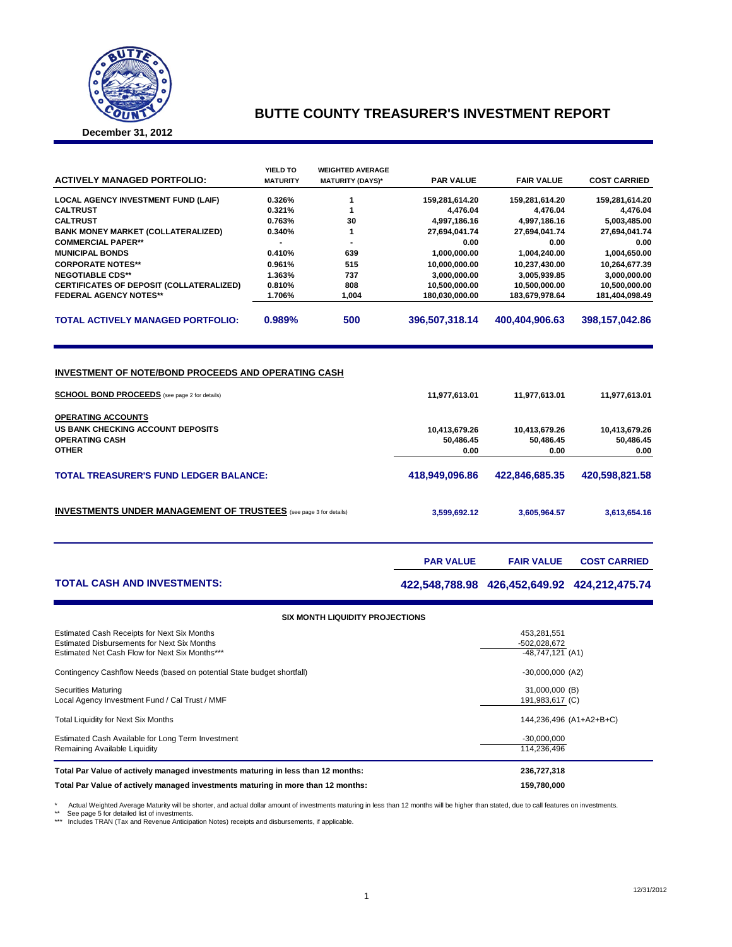

## **BUTTE COUNTY TREASURER'S INVESTMENT REPORT**

**December 31, 2012**

| <b>ACTIVELY MANAGED PORTFOLIO:</b>              | <b>YIELD TO</b><br><b>MATURITY</b> | <b>WEIGHTED AVERAGE</b><br><b>MATURITY (DAYS)*</b> | <b>PAR VALUE</b> | <b>FAIR VALUE</b> | <b>COST CARRIED</b> |  |
|-------------------------------------------------|------------------------------------|----------------------------------------------------|------------------|-------------------|---------------------|--|
| <b>LOCAL AGENCY INVESTMENT FUND (LAIF)</b>      | 0.326%                             |                                                    | 159,281,614.20   | 159,281,614.20    | 159,281,614.20      |  |
| <b>CALTRUST</b>                                 | 0.321%                             |                                                    | 4.476.04         | 4.476.04          | 4.476.04            |  |
| <b>CALTRUST</b>                                 | 0.763%                             | 30                                                 | 4,997,186.16     | 4,997,186.16      | 5,003,485.00        |  |
| <b>BANK MONEY MARKET (COLLATERALIZED)</b>       | 0.340%                             |                                                    | 27,694,041.74    | 27,694,041.74     | 27,694,041.74       |  |
| <b>COMMERCIAL PAPER**</b>                       |                                    | -                                                  | 0.00             | 0.00              | 0.00                |  |
| <b>MUNICIPAL BONDS</b>                          | 0.410%                             | 639                                                | 1,000,000.00     | 1,004,240.00      | 1,004,650.00        |  |
| <b>CORPORATE NOTES**</b>                        | 0.961%                             | 515                                                | 10.000.000.00    | 10.237.430.00     | 10,264,677.39       |  |
| <b>NEGOTIABLE CDS**</b>                         | 1.363%                             | 737                                                | 3.000.000.00     | 3.005.939.85      | 3,000,000.00        |  |
| <b>CERTIFICATES OF DEPOSIT (COLLATERALIZED)</b> | 0.810%                             | 808                                                | 10,500,000.00    | 10,500,000.00     | 10,500,000.00       |  |
| <b>FEDERAL AGENCY NOTES**</b>                   | 1.706%                             | 1.004                                              | 180.030.000.00   | 183,679,978.64    | 181.404.098.49      |  |
| <b>TOTAL ACTIVELY MANAGED PORTFOLIO:</b>        | 0.989%                             | 500                                                | 396.507.318.14   | 400.404.906.63    | 398.157.042.86      |  |

#### **INVESTMENT OF NOTE/BOND PROCEEDS AND OPERATING CASH**

| <b>SCHOOL BOND PROCEEDS</b> (see page 2 for details)                                    | 11,977,613.01              | 11,977,613.01              | 11,977,613.01              |
|-----------------------------------------------------------------------------------------|----------------------------|----------------------------|----------------------------|
| <b>OPERATING ACCOUNTS</b><br>US BANK CHECKING ACCOUNT DEPOSITS<br><b>OPERATING CASH</b> | 10,413,679.26<br>50,486.45 | 10,413,679.26<br>50,486.45 | 10,413,679.26<br>50,486.45 |
| <b>OTHER</b>                                                                            | 0.00                       | 0.00                       | 0.00                       |
| <b>TOTAL TREASURER'S FUND LEDGER BALANCE:</b>                                           | 418,949,096.86             | 422.846.685.35             | 420,598,821.58             |
| <b>INVESTMENTS UNDER MANAGEMENT OF TRUSTEES</b> (see page 3 for details)                | 3,599,692.12               | 3,605,964.57               | 3,613,654.16               |
|                                                                                         |                            |                            |                            |

### **TOTAL CASH AND INVESTMENTS: 422,548,788.98 426,452,649.92 424,212,475.74**

**PAR VALUE FAIR VALUE COST CARRIED** 

| <b>SIX MONTH LIQUIDITY PROJECTIONS</b>                                                                                                              |                                                   |  |  |  |  |  |  |  |
|-----------------------------------------------------------------------------------------------------------------------------------------------------|---------------------------------------------------|--|--|--|--|--|--|--|
| Estimated Cash Receipts for Next Six Months<br><b>Estimated Disbursements for Next Six Months</b><br>Estimated Net Cash Flow for Next Six Months*** | 453,281,551<br>-502,028,672<br>$-48,747,121$ (A1) |  |  |  |  |  |  |  |
| Contingency Cashflow Needs (based on potential State budget shortfall)                                                                              | $-30,000,000$ (A2)                                |  |  |  |  |  |  |  |
| <b>Securities Maturing</b><br>Local Agency Investment Fund / Cal Trust / MMF                                                                        | 31,000,000 (B)<br>191,983,617 (C)                 |  |  |  |  |  |  |  |
| <b>Total Liquidity for Next Six Months</b>                                                                                                          | 144,236,496 (A1+A2+B+C)                           |  |  |  |  |  |  |  |
| Estimated Cash Available for Long Term Investment<br>Remaining Available Liquidity                                                                  | $-30,000,000$<br>114,236,496                      |  |  |  |  |  |  |  |
| Total Par Value of actively managed investments maturing in less than 12 months:                                                                    | 236,727,318                                       |  |  |  |  |  |  |  |
| Total Par Value of actively managed investments maturing in more than 12 months:                                                                    | 159,780,000                                       |  |  |  |  |  |  |  |

\* Actual Weighted Average Maturity will be shorter, and actual dollar amount of investments maturing in less than 12 months will be higher than stated, due to call features on investments<br>\*\* See page 5 for detailed list of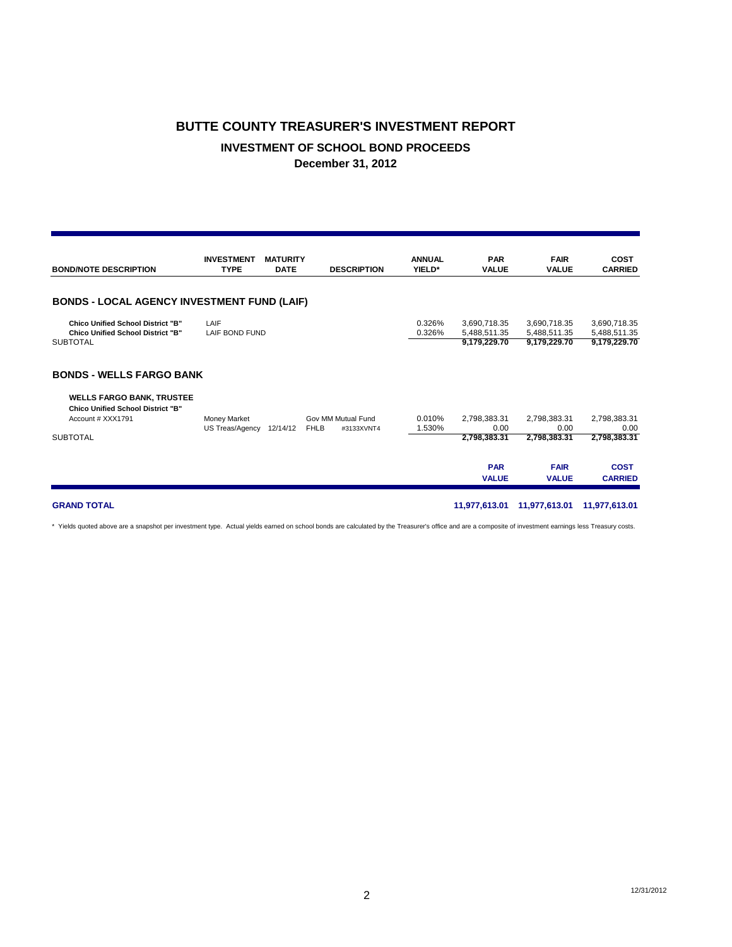## **BUTTE COUNTY TREASURER'S INVESTMENT REPORT INVESTMENT OF SCHOOL BOND PROCEEDS December 31, 2012**

| <b>BOND/NOTE DESCRIPTION</b>                                                                                                                            | <b>INVESTMENT</b><br><b>TYPE</b> | <b>MATURITY</b><br><b>DATE</b> | <b>DESCRIPTION</b>                              | <b>ANNUAL</b><br>YIELD* | <b>PAR</b><br><b>VALUE</b>                                         | <b>FAIR</b><br><b>VALUE</b>                                         | <b>COST</b><br><b>CARRIED</b>                                         |
|---------------------------------------------------------------------------------------------------------------------------------------------------------|----------------------------------|--------------------------------|-------------------------------------------------|-------------------------|--------------------------------------------------------------------|---------------------------------------------------------------------|-----------------------------------------------------------------------|
| <b>BONDS - LOCAL AGENCY INVESTMENT FUND (LAIF)</b>                                                                                                      |                                  |                                |                                                 |                         |                                                                    |                                                                     |                                                                       |
| <b>Chico Unified School District "B"</b><br><b>Chico Unified School District "B"</b><br><b>SUBTOTAL</b>                                                 | LAIF<br>LAIF BOND FUND           |                                |                                                 | 0.326%<br>0.326%        | 3,690,718.35<br>5,488,511.35<br>9,179,229.70                       | 3,690,718.35<br>5.488.511.35<br>9,179,229.70                        | 3,690,718.35<br>5,488,511.35<br>9,179,229.70                          |
| <b>BONDS - WELLS FARGO BANK</b><br><b>WELLS FARGO BANK, TRUSTEE</b><br><b>Chico Unified School District "B"</b><br>Account # XXX1791<br><b>SUBTOTAL</b> | Money Market<br>US Treas/Agency  | 12/14/12                       | Gov MM Mutual Fund<br><b>FHLB</b><br>#3133XVNT4 | 0.010%<br>1.530%        | 2,798,383.31<br>0.00<br>2,798,383.31<br><b>PAR</b><br><b>VALUE</b> | 2,798,383.31<br>0.00<br>2,798,383.31<br><b>FAIR</b><br><b>VALUE</b> | 2,798,383.31<br>0.00<br>2,798,383.31<br><b>COST</b><br><b>CARRIED</b> |
| <b>GRAND TOTAL</b>                                                                                                                                      |                                  |                                |                                                 |                         | 11,977,613.01                                                      | 11,977,613.01                                                       | 11,977,613.01                                                         |

\* Yields quoted above are a snapshot per investment type. Actual yields earned on school bonds are calculated by the Treasurer's office and are a composite of investment earnings less Treasury costs.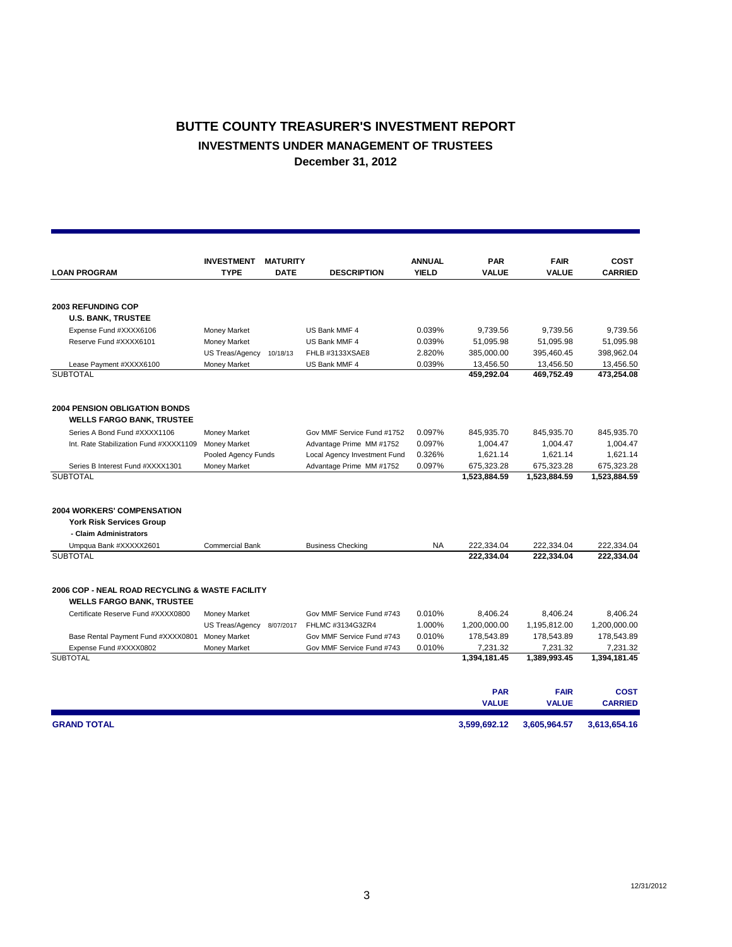## **BUTTE COUNTY TREASURER'S INVESTMENT REPORT INVESTMENTS UNDER MANAGEMENT OF TRUSTEES December 31, 2012**

| <b>LOAN PROGRAM</b>                                                      | <b>INVESTMENT</b><br><b>TYPE</b> | <b>MATURITY</b><br><b>DATE</b> | <b>DESCRIPTION</b>           | <b>ANNUAL</b><br><b>YIELD</b> | <b>PAR</b><br><b>VALUE</b> | <b>FAIR</b><br><b>VALUE</b> | <b>COST</b><br><b>CARRIED</b> |
|--------------------------------------------------------------------------|----------------------------------|--------------------------------|------------------------------|-------------------------------|----------------------------|-----------------------------|-------------------------------|
|                                                                          |                                  |                                |                              |                               |                            |                             |                               |
| <b>2003 REFUNDING COP</b>                                                |                                  |                                |                              |                               |                            |                             |                               |
| <b>U.S. BANK, TRUSTEE</b>                                                |                                  |                                |                              |                               |                            |                             |                               |
| Expense Fund #XXXX6106                                                   | Money Market                     |                                | US Bank MMF 4                | 0.039%                        | 9,739.56                   | 9,739.56                    | 9,739.56                      |
| Reserve Fund #XXXX6101                                                   | Money Market                     |                                | US Bank MMF 4                | 0.039%                        | 51,095.98                  | 51,095.98                   | 51,095.98                     |
|                                                                          | US Treas/Agency                  | 10/18/13                       | FHLB #3133XSAE8              | 2.820%                        | 385,000.00                 | 395,460.45                  | 398,962.04                    |
| Lease Payment #XXXX6100                                                  | <b>Money Market</b>              |                                | US Bank MMF 4                | 0.039%                        | 13,456.50                  | 13,456.50                   | 13,456.50                     |
| <b>SUBTOTAL</b>                                                          |                                  |                                |                              |                               | 459,292.04                 | 469,752.49                  | 473,254.08                    |
| <b>2004 PENSION OBLIGATION BONDS</b><br><b>WELLS FARGO BANK, TRUSTEE</b> |                                  |                                |                              |                               |                            |                             |                               |
| Series A Bond Fund #XXXX1106                                             | Money Market                     |                                | Gov MMF Service Fund #1752   | 0.097%                        | 845,935.70                 | 845,935.70                  | 845,935.70                    |
| Int. Rate Stabilization Fund #XXXX1109                                   | <b>Money Market</b>              |                                | Advantage Prime MM #1752     | 0.097%                        | 1,004.47                   | 1,004.47                    | 1,004.47                      |
|                                                                          | Pooled Agency Funds              |                                | Local Agency Investment Fund | 0.326%                        | 1,621.14                   | 1,621.14                    | 1,621.14                      |
| Series B Interest Fund #XXXX1301                                         | Money Market                     |                                | Advantage Prime MM #1752     | 0.097%                        | 675,323.28                 | 675,323.28                  | 675,323.28                    |
| <b>SUBTOTAL</b>                                                          |                                  |                                |                              |                               | 1,523,884.59               | 1,523,884.59                | 1,523,884.59                  |
| <b>2004 WORKERS' COMPENSATION</b>                                        |                                  |                                |                              |                               |                            |                             |                               |
| <b>York Risk Services Group</b>                                          |                                  |                                |                              |                               |                            |                             |                               |
| - Claim Administrators                                                   |                                  |                                |                              |                               |                            |                             |                               |
| Umpqua Bank #XXXXX2601                                                   | <b>Commercial Bank</b>           |                                | <b>Business Checking</b>     | <b>NA</b>                     | 222,334.04                 | 222,334.04                  | 222,334.04                    |
| <b>SUBTOTAL</b>                                                          |                                  |                                |                              |                               | 222,334.04                 | 222,334.04                  | 222,334.04                    |
| 2006 COP - NEAL ROAD RECYCLING & WASTE FACILITY                          |                                  |                                |                              |                               |                            |                             |                               |
| <b>WELLS FARGO BANK, TRUSTEE</b>                                         |                                  |                                |                              |                               |                            |                             |                               |
| Certificate Reserve Fund #XXXX0800                                       | <b>Money Market</b>              |                                | Gov MMF Service Fund #743    | 0.010%                        | 8,406.24                   | 8,406.24                    | 8,406.24                      |
|                                                                          | US Treas/Agency                  | 8/07/2017                      | FHLMC #3134G3ZR4             | 1.000%                        | 1,200,000.00               | 1,195,812.00                | 1,200,000.00                  |
| Base Rental Payment Fund #XXXX0801                                       | <b>Money Market</b>              |                                | Gov MMF Service Fund #743    | 0.010%                        | 178,543.89                 | 178,543.89                  | 178,543.89                    |
| Expense Fund #XXXX0802                                                   | Money Market                     |                                | Gov MMF Service Fund #743    | 0.010%                        | 7,231.32                   | 7,231.32                    | 7,231.32                      |
| <b>SUBTOTAL</b>                                                          |                                  |                                |                              |                               | 1,394,181.45               | 1,389,993.45                | 1,394,181.45                  |
|                                                                          |                                  |                                |                              |                               | <b>PAR</b>                 | <b>FAIR</b>                 | <b>COST</b>                   |
|                                                                          |                                  |                                |                              |                               | <b>VALUE</b>               | <b>VALUE</b>                | <b>CARRIED</b>                |
| <b>GRAND TOTAL</b>                                                       |                                  |                                |                              |                               | 3.599.692.12               | 3.605.964.57                | 3,613,654.16                  |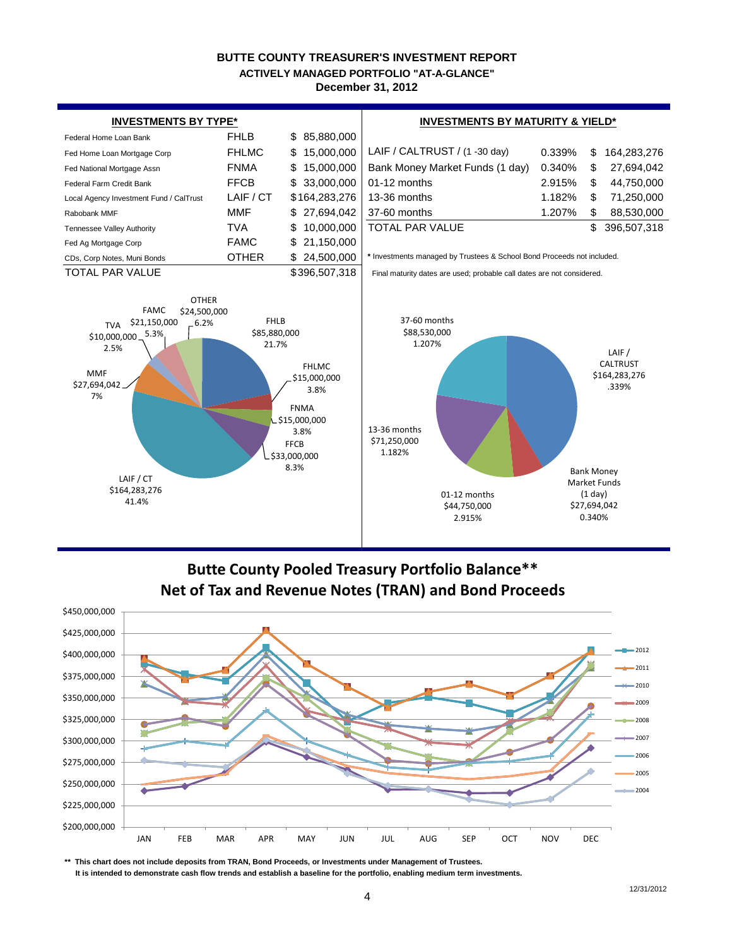#### **BUTTE COUNTY TREASURER'S INVESTMENT REPORT December 31, 2012 ACTIVELY MANAGED PORTFOLIO "AT-A-GLANCE"**



## **Butte County Pooled Treasury Portfolio Balance\*\* Net of Tax and Revenue Notes (TRAN) and Bond Proceeds**



**\*\* This chart does not include deposits from TRAN, Bond Proceeds, or Investments under Management of Trustees.**

 **It is intended to demonstrate cash flow trends and establish a baseline for the portfolio, enabling medium term investments.**